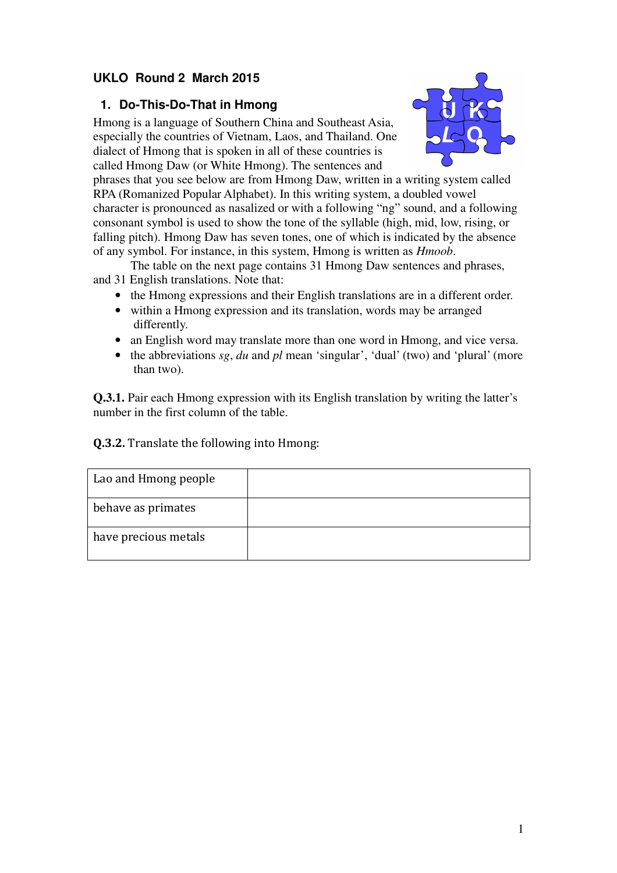# **UKLO Round 2 March 2015**

### **1. Do-This-Do-That in Hmong**

Hmong is a language of Southern China and Southeast Asia, especially the countries of Vietnam, Laos, and Thailand. One dialect of Hmong that is spoken in all of these countries is called Hmong Daw (or White Hmong). The sentences and



phrases that you see below are from Hmong Daw, written in a writing system called RPA (Romanized Popular Alphabet). In this writing system, a doubled vowel character is pronounced as nasalized or with a following "ng" sound, and a following consonant symbol is used to show the tone of the syllable (high, mid, low, rising, or falling pitch). Hmong Daw has seven tones, one of which is indicated by the absence of any symbol. For instance, in this system, Hmong is written as *Hmoob*.

The table on the next page contains 31 Hmong Daw sentences and phrases, and 31 English translations. Note that:

- the Hmong expressions and their English translations are in a different order.
- within a Hmong expression and its translation, words may be arranged differently.
- an English word may translate more than one word in Hmong, and vice versa.
- the abbreviations *sg*, *du* and *pl* mean 'singular', 'dual' (two) and 'plural' (more than two).

**Q.3.1.** Pair each Hmong expression with its English translation by writing the latter's number in the first column of the table.

#### Q.3.2. Translate the following into Hmong:

| Lao and Hmong people |  |
|----------------------|--|
| behave as primates   |  |
| have precious metals |  |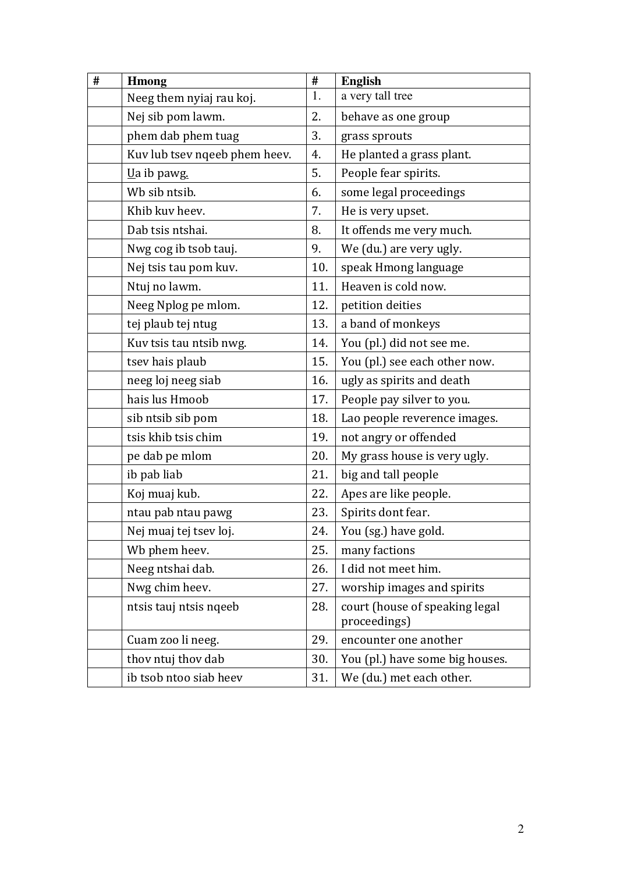| # | <b>Hmong</b>                  | $\#$ | <b>English</b>                                 |
|---|-------------------------------|------|------------------------------------------------|
|   | Neeg them nyiaj rau koj.      | 1.   | a very tall tree                               |
|   | Nej sib pom lawm.             | 2.   | behave as one group                            |
|   | phem dab phem tuag            | 3.   | grass sprouts                                  |
|   | Kuv lub tsev nqeeb phem heev. | 4.   | He planted a grass plant.                      |
|   | $Ua ib pawg.$                 | 5.   | People fear spirits.                           |
|   | Wb sib ntsib.                 | 6.   | some legal proceedings                         |
|   | Khib kuv heev.                | 7.   | He is very upset.                              |
|   | Dab tsis ntshai.              | 8.   | It offends me very much.                       |
|   | Nwg cog ib tsob tauj.         | 9.   | We (du.) are very ugly.                        |
|   | Nej tsis tau pom kuv.         | 10.  | speak Hmong language                           |
|   | Ntuj no lawm.                 | 11.  | Heaven is cold now.                            |
|   | Neeg Nplog pe mlom.           | 12.  | petition deities                               |
|   | tej plaub tej ntug            | 13.  | a band of monkeys                              |
|   | Kuv tsis tau ntsib nwg.       | 14.  | You (pl.) did not see me.                      |
|   | tsev hais plaub               | 15.  | You (pl.) see each other now.                  |
|   | neeg loj neeg siab            | 16.  | ugly as spirits and death                      |
|   | hais lus Hmoob                | 17.  | People pay silver to you.                      |
|   | sib ntsib sib pom             | 18.  | Lao people reverence images.                   |
|   | tsis khib tsis chim           | 19.  | not angry or offended                          |
|   | pe dab pe mlom                | 20.  | My grass house is very ugly.                   |
|   | ib pab liab                   | 21.  | big and tall people                            |
|   | Koj muaj kub.                 | 22.  | Apes are like people.                          |
|   | ntau pab ntau pawg            | 23.  | Spirits dont fear.                             |
|   | Nej muaj tej tsev loj.        | 24.  | You (sg.) have gold.                           |
|   | Wb phem heev.                 | 25.  | many factions                                  |
|   | Neeg ntshai dab.              | 26.  | I did not meet him.                            |
|   | Nwg chim heev.                | 27.  | worship images and spirits                     |
|   | ntsis tauj ntsis nqeeb        | 28.  | court (house of speaking legal<br>proceedings) |
|   | Cuam zoo li neeg.             | 29.  | encounter one another                          |
|   | thov ntuj thov dab            | 30.  | You (pl.) have some big houses.                |
|   | ib tsob ntoo siab heev        | 31.  | We (du.) met each other.                       |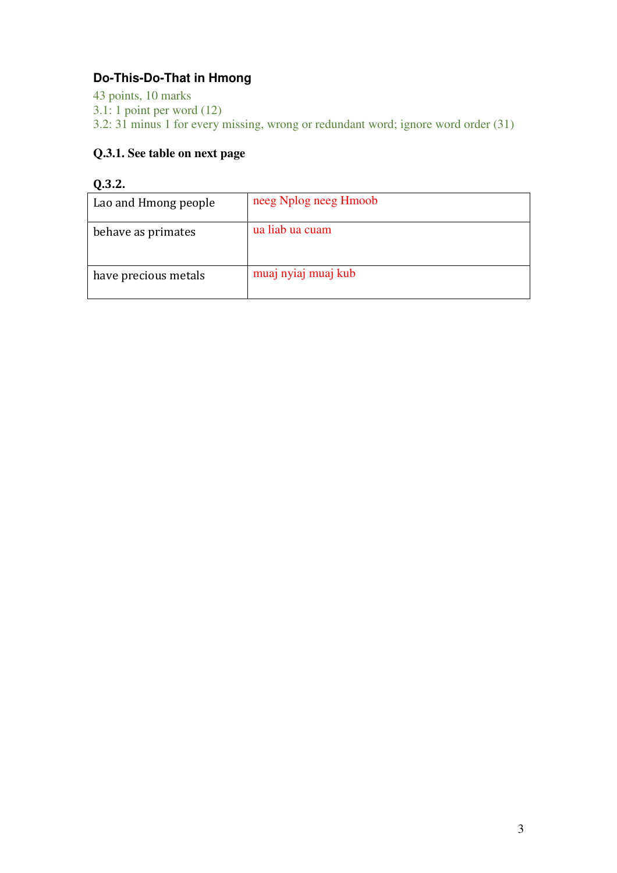# **Do-This-Do-That in Hmong**

43 points, 10 marks 3.1: 1 point per word (12) 3.2: 31 minus 1 for every missing, wrong or redundant word; ignore word order (31)

### **Q.3.1. See table on next page**

#### Q.3.2.

| Lao and Hmong people | neeg Nplog neeg Hmoob |
|----------------------|-----------------------|
| behave as primates   | ua liab ua cuam       |
| have precious metals | muaj nyiaj muaj kub   |